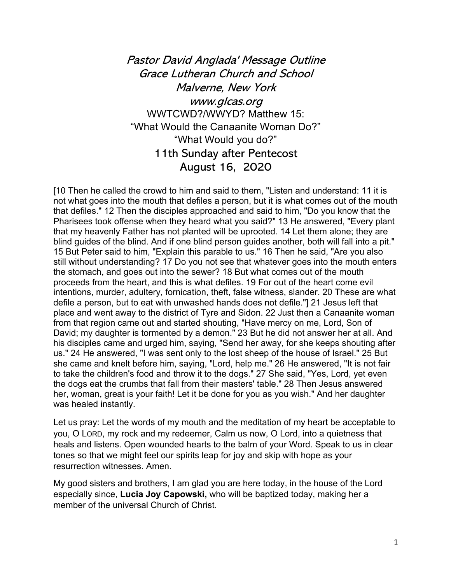Pastor David Anglada' Message Outline Grace Lutheran Church and School Malverne, New York www.glcas.org WWTCWD?/WWYD? Matthew 15: "What Would the Canaanite Woman Do?" "What Would you do?" 11th Sunday after Pentecost August 16, 2020

[10 Then he called the crowd to him and said to them, "Listen and understand: 11 it is not what goes into the mouth that defiles a person, but it is what comes out of the mouth that defiles." 12 Then the disciples approached and said to him, "Do you know that the Pharisees took offense when they heard what you said?" 13 He answered, "Every plant that my heavenly Father has not planted will be uprooted. 14 Let them alone; they are blind guides of the blind. And if one blind person guides another, both will fall into a pit." 15 But Peter said to him, "Explain this parable to us." 16 Then he said, "Are you also still without understanding? 17 Do you not see that whatever goes into the mouth enters the stomach, and goes out into the sewer? 18 But what comes out of the mouth proceeds from the heart, and this is what defiles. 19 For out of the heart come evil intentions, murder, adultery, fornication, theft, false witness, slander. 20 These are what defile a person, but to eat with unwashed hands does not defile."] 21 Jesus left that place and went away to the district of Tyre and Sidon. 22 Just then a Canaanite woman from that region came out and started shouting, "Have mercy on me, Lord, Son of David; my daughter is tormented by a demon." 23 But he did not answer her at all. And his disciples came and urged him, saying, "Send her away, for she keeps shouting after us." 24 He answered, "I was sent only to the lost sheep of the house of Israel." 25 But she came and knelt before him, saying, "Lord, help me." 26 He answered, "It is not fair to take the children's food and throw it to the dogs." 27 She said, "Yes, Lord, yet even the dogs eat the crumbs that fall from their masters' table." 28 Then Jesus answered her, woman, great is your faith! Let it be done for you as you wish." And her daughter was healed instantly.

Let us pray: Let the words of my mouth and the meditation of my heart be acceptable to you, O LORD, my rock and my redeemer, Calm us now, O Lord, into a quietness that heals and listens. Open wounded hearts to the balm of your Word. Speak to us in clear tones so that we might feel our spirits leap for joy and skip with hope as your resurrection witnesses. Amen.

My good sisters and brothers, I am glad you are here today, in the house of the Lord especially since, **Lucia Joy Capowski,** who will be baptized today, making her a member of the universal Church of Christ.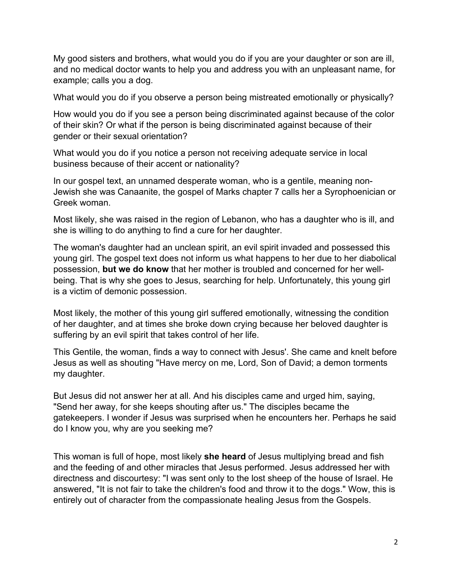My good sisters and brothers, what would you do if you are your daughter or son are ill, and no medical doctor wants to help you and address you with an unpleasant name, for example; calls you a dog.

What would you do if you observe a person being mistreated emotionally or physically?

How would you do if you see a person being discriminated against because of the color of their skin? Or what if the person is being discriminated against because of their gender or their sexual orientation?

What would you do if you notice a person not receiving adequate service in local business because of their accent or nationality?

In our gospel text, an unnamed desperate woman, who is a gentile, meaning non-Jewish she was Canaanite, the gospel of Marks chapter 7 calls her a Syrophoenician or Greek woman.

Most likely, she was raised in the region of Lebanon, who has a daughter who is ill, and she is willing to do anything to find a cure for her daughter.

The woman's daughter had an unclean spirit, an evil spirit invaded and possessed this young girl. The gospel text does not inform us what happens to her due to her diabolical possession, **but we do know** that her mother is troubled and concerned for her wellbeing. That is why she goes to Jesus, searching for help. Unfortunately, this young girl is a victim of demonic possession.

Most likely, the mother of this young girl suffered emotionally, witnessing the condition of her daughter, and at times she broke down crying because her beloved daughter is suffering by an evil spirit that takes control of her life.

This Gentile, the woman, finds a way to connect with Jesus'. She came and knelt before Jesus as well as shouting "Have mercy on me, Lord, Son of David; a demon torments my daughter.

But Jesus did not answer her at all. And his disciples came and urged him, saying, "Send her away, for she keeps shouting after us." The disciples became the gatekeepers. I wonder if Jesus was surprised when he encounters her. Perhaps he said do I know you, why are you seeking me?

This woman is full of hope, most likely **she heard** of Jesus multiplying bread and fish and the feeding of and other miracles that Jesus performed. Jesus addressed her with directness and discourtesy: "I was sent only to the lost sheep of the house of Israel. He answered, "It is not fair to take the children's food and throw it to the dogs." Wow, this is entirely out of character from the compassionate healing Jesus from the Gospels.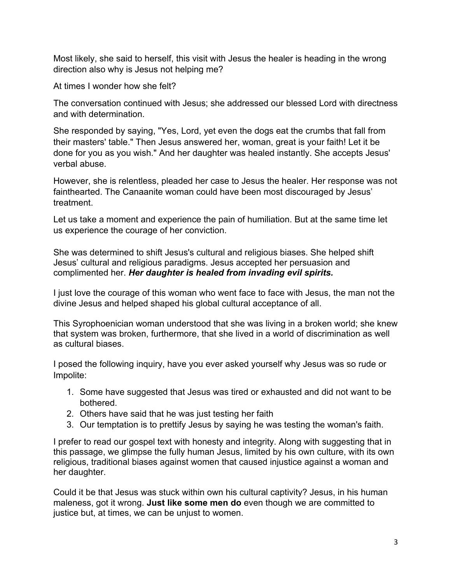Most likely, she said to herself, this visit with Jesus the healer is heading in the wrong direction also why is Jesus not helping me?

At times I wonder how she felt?

The conversation continued with Jesus; she addressed our blessed Lord with directness and with determination.

She responded by saying, "Yes, Lord, yet even the dogs eat the crumbs that fall from their masters' table." Then Jesus answered her, woman, great is your faith! Let it be done for you as you wish." And her daughter was healed instantly. She accepts Jesus' verbal abuse.

However, she is relentless, pleaded her case to Jesus the healer. Her response was not fainthearted. The Canaanite woman could have been most discouraged by Jesus' treatment.

Let us take a moment and experience the pain of humiliation. But at the same time let us experience the courage of her conviction.

She was determined to shift Jesus's cultural and religious biases. She helped shift Jesus' cultural and religious paradigms. Jesus accepted her persuasion and complimented her. *Her daughter is healed from invading evil spirits.*

I just love the courage of this woman who went face to face with Jesus, the man not the divine Jesus and helped shaped his global cultural acceptance of all.

This Syrophoenician woman understood that she was living in a broken world; she knew that system was broken, furthermore, that she lived in a world of discrimination as well as cultural biases.

I posed the following inquiry, have you ever asked yourself why Jesus was so rude or Impolite:

- 1. Some have suggested that Jesus was tired or exhausted and did not want to be bothered.
- 2. Others have said that he was just testing her faith
- 3. Our temptation is to prettify Jesus by saying he was testing the woman's faith.

I prefer to read our gospel text with honesty and integrity. Along with suggesting that in this passage, we glimpse the fully human Jesus, limited by his own culture, with its own religious, traditional biases against women that caused injustice against a woman and her daughter.

Could it be that Jesus was stuck within own his cultural captivity? Jesus, in his human maleness, got it wrong. **Just like some men do** even though we are committed to justice but, at times, we can be unjust to women.